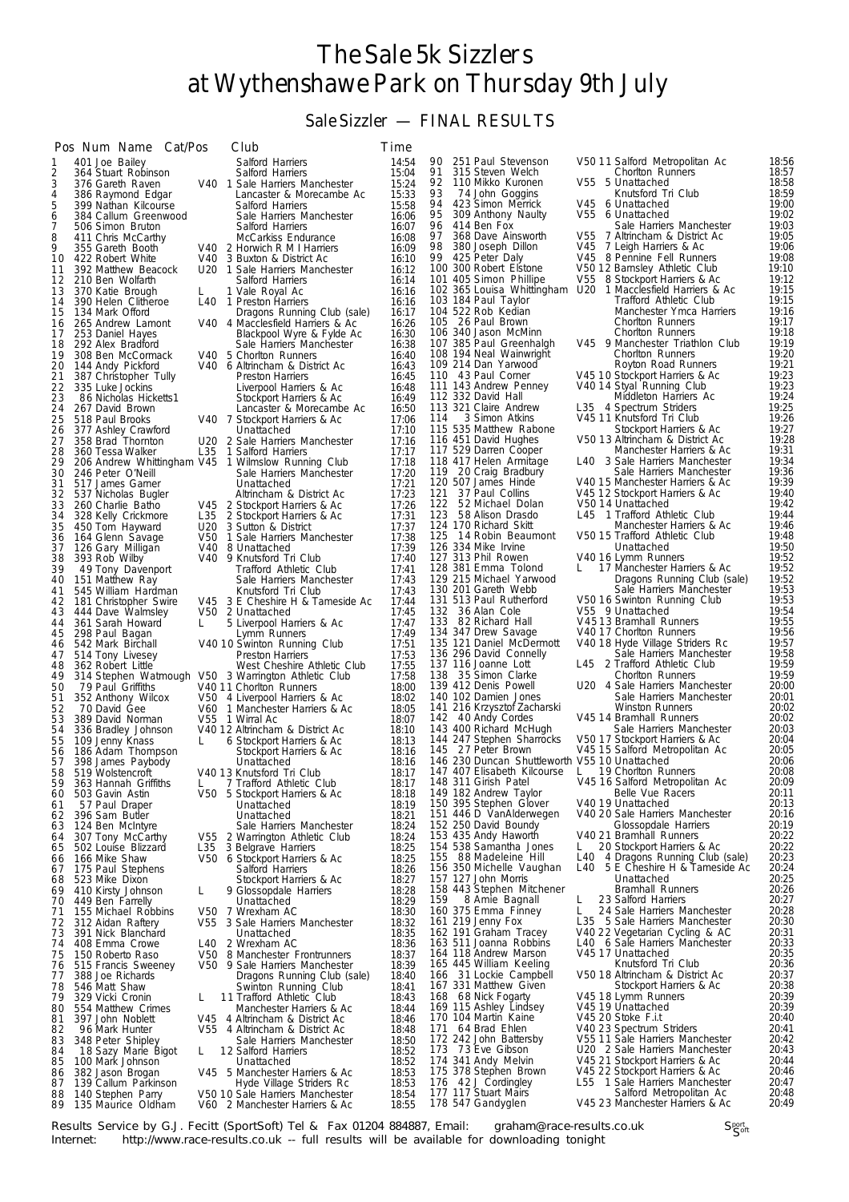## The Sale 5k Sizzlers at Wythenshawe Park on Thursday 9th July

## Sale Sizzler — FINAL RESULTS

|          | Pos Num Name Cat/Pos                       |      | Club                                                                           | Time           |                                                      |                                                                   |                |
|----------|--------------------------------------------|------|--------------------------------------------------------------------------------|----------------|------------------------------------------------------|-------------------------------------------------------------------|----------------|
| 1        | 401 Joe Bailey                             |      | Salford Harriers                                                               | 14:54          | 90 251 Paul Stevenson                                | V50 11 Salford Metropolitan Ac                                    | 18:56          |
| 2<br>3   | 364 Stuart Robinson<br>376 Gareth Raven    |      | Salford Harriers<br>V40 1 Sale Harriers Manchester                             | 15:04<br>15:24 | 91<br>315 Steven Welch<br>92<br>110 Mikko Kuronen    | Chorlton Runners<br>V55<br>5 Unattached                           | 18:57<br>18:58 |
| 4        | 386 Raymond Edgar                          |      | Lancaster & Morecambe Ac                                                       | 15:33          | 93<br>74 John Goggins                                | Knutsford Tri Club                                                | 18:59          |
| 5        | 399 Nathan Kilcourse                       |      | Salford Harriers                                                               | 15:58          | 94<br>423 Simon Merrick                              | V45 6 Unattached                                                  | 19:00          |
| 6<br>7   | 384 Callum Greenwood<br>506 Simon Bruton   |      | Sale Harriers Manchester<br>Salford Harriers                                   | 16:06          | 95<br>309 Anthony Naulty<br>96<br>414 Ben Fox        | V55 6 Unattached<br>Sale Harriers Manchester                      | 19:02<br>19:03 |
| 8        | 411 Chris McCarthy                         |      | McCarkiss Endurance                                                            | 16:07<br>16:08 | 97<br>368 Dave Ainsworth                             | V55<br>7 Altrincham & District Ac                                 | 19:05          |
| 9        | 355 Gareth Booth                           |      | V40 2 Horwich R M I Harriers                                                   | 16:09          | 98<br>380 Joseph Dillon                              | V45<br>7 Leigh Harriers & Ac                                      | 19:06          |
| 10       | 422 Robert White                           |      | V40 3 Buxton & District Ac                                                     | 16:10          | 99 425 Peter Daly                                    | V45 8 Pennine Fell Runners                                        | 19:08          |
| 11<br>12 | 392 Matthew Beacock<br>210 Ben Wolfarth    |      | U20 1 Sale Harriers Manchester<br>Salford Harriers                             | 16:12<br>16:14 | 100 300 Robert Elstone<br>101 405 Simon Phillipe     | V50 12 Barnsley Athletic Club<br>V55<br>8 Stockport Harriers & Ac | 19:10<br>19:12 |
| 13       | 370 Katie Brough                           | L    | 1 Vale Royal Ac                                                                | 16:16          | 102 365 Louisa Whittingham                           | U20<br>1 Macclesfield Harriers & Ac                               | 19:15          |
| 14       | 390 Helen Clitheroe                        | L40  | 1 Preston Harriers                                                             | 16:16          | 103 184 Paul Taylor                                  | Trafford Athletic Club                                            | 19:15          |
| 15<br>16 | 134 Mark Offord<br>265 Andrew Lamont       |      | Dragons Running Club (sale)<br>V40 4 Macclesfield Harriers & Ac                | 16:17<br>16:26 | 104 522 Rob Kedian<br>105 26 Paul Brown              | Manchester Ymca Harriers<br>Chorlton Runners                      | 19:16<br>19:17 |
| 17       | 253 Daniel Hayes                           |      | Blackpool Wyre & Fylde Ac                                                      | 16:30          | 106 340 Jason McMinn                                 | Chorlton Runners                                                  | 19:18          |
| 18       | 292 Alex Bradford                          |      | Sale Harriers Manchester                                                       | 16:38          | 107 385 Paul Greenhalgh                              | V45 9 Manchester Triathlon Club                                   | 19:19          |
| 19       | 308 Ben McCormack                          |      | V40 5 Chorlton Runners                                                         | 16:40          | 108 194 Neal Wainwright<br>109 214 Dan Yarwood       | Chorlton Runners                                                  | 19:20<br>19:21 |
| 20<br>21 | 144 Andy Pickford<br>387 Christopher Tully |      | V40 6 Altrincham & District Ac<br>Preston Harriers                             | 16:43<br>16:45 | 110 43 Paul Corner                                   | Royton Road Runners<br>V45 10 Stockport Harriers & Ac             | 19:23          |
| 22       | 335 Luke Jockins                           |      | Liverpool Harriers & Ac                                                        | 16:48          | 111 143 Andrew Penney                                | V40 14 Styal Running Club                                         | 19:23          |
| 23       | 86 Nicholas Hicketts1                      |      | Stockport Harriers & Ac                                                        | 16:49          | 112 332 David Hall                                   | Middleton Harriers Ac                                             | 19:24          |
| 24<br>25 | 267 David Brown<br>518 Paul Brooks         |      | Lancaster & Morecambe Ac<br>V40 7 Stockport Harriers & Ac                      | 16:50<br>17:06 | 113 321 Claire Andrew<br>3 Simon Atkins<br>114       | L35 4 Spectrum Striders<br>V45 11 Knutsford Tri Club              | 19:25<br>19:26 |
| 26       | 377 Ashley Crawford                        |      | Unattached                                                                     | 17:10          | 115 535 Matthew Rabone                               | Stockport Harriers & Ac                                           | 19:27          |
| 27       | 358 Brad Thornton                          |      | U20 2 Sale Harriers Manchester                                                 | 17:16          | 116 451 David Hughes                                 | V50 13 Altrincham & District Ac                                   | 19:28          |
| 28       | 360 Tessa Walker                           | L35  | 1 Salford Harriers                                                             | 17:17          | 117 529 Darren Cooper                                | Manchester Harriers & Ac<br>L40 3 Sale Harriers Manchester        | 19:31<br>19:34 |
| 29<br>30 | 246 Peter O'Neill                          |      | 206 Andrew Whittingham V45 1 Wilmslow Running Club<br>Sale Harriers Manchester | 17:18<br>17:20 | 118 417 Helen Armitage<br>119 20 Craig Bradbury      | Sale Harriers Manchester                                          | 19:36          |
| 31       | 517 James Garner                           |      | Unattached                                                                     | 17:21          | 120 507 James Hinde                                  | V40 15 Manchester Harriers & Ac                                   | 19:39          |
| 32       | 537 Nicholas Bugler                        |      | Altrincham & District Ac                                                       | 17:23          | 121<br>37 Paul Collins                               | V45 12 Stockport Harriers & Ac                                    | 19:40          |
| 33<br>34 | 260 Charlie Batho<br>328 Kelly Crickmore   | L35  | V45 2 Stockport Harriers & Ac<br>2 Stockport Harriers & Ac                     | 17:26<br>17:31 | 122<br>52 Michael Dolan<br>123<br>58 Alison Drasdo   | V50 14 Unattached<br>L45 1 Trafford Athletic Club                 | 19:42<br>19:44 |
| 35       | 450 Tom Hayward                            |      | U20 3 Sutton & District                                                        | 17:37          | 124 170 Richard Skitt                                | Manchester Harriers & Ac                                          | 19:46          |
| 36       | 164 Glenn Savage                           | V50  | 1 Sale Harriers Manchester                                                     | 17:38          | 125<br>14 Robin Beaumont                             | V50 15 Trafford Athletic Club                                     | 19:48          |
| 37       | 126 Gary Milligan                          | V40  | 8 Unattached                                                                   | 17:39          | 126 334 Mike Irvine<br>127 313 Phil Rowen            | Unattached<br>V40 16 Lymm Runners                                 | 19:50<br>19:52 |
| 38<br>39 | 393 Rob Wilby<br>49 Tony Davenport         |      | V40 9 Knutsford Tri Club<br>Trafford Athletic Club                             | 17:40<br>17:41 | 128 381 Emma Tolond                                  | 17 Manchester Harriers & Ac<br>L.                                 | 19:52          |
| 40       | 151 Matthew Ray                            |      | Sale Harriers Manchester                                                       | 17:43          | 129 215 Michael Yarwood                              | Dragons Running Club (sale)                                       | 19:52          |
| 41       | 545 William Hardman                        |      | Knutsford Tri Club                                                             | 17:43          | 130 201 Gareth Webb                                  | Sale Harriers Manchester                                          | 19:53          |
| 42<br>43 | 181 Christopher Swire<br>444 Dave Walmsley |      | V45 3 E Cheshire H & Tameside Ac<br>V50 2 Unattached                           | 17:44<br>17:45 | 131 513 Paul Rutherford<br>132 36 Alan Cole          | V50 16 Swinton Running Club<br>V55 9 Unattached                   | 19:53<br>19:54 |
| 44       | 361 Sarah Howard                           | L    | 5 Liverpool Harriers & Ac                                                      | 17:47          | 133 82 Richard Hall                                  | V4513 Bramhall Runners                                            | 19:55          |
| 45       | 298 Paul Bagan                             |      | Lymm Runners                                                                   | 17:49          | 134 347 Drew Savage                                  | V40 17 Chorlton Runners                                           | 19:56          |
| 46       | 542 Mark Birchall                          |      | V40 10 Swinton Running Club                                                    | 17:51          | 135 121 Daniel McDermott<br>136 296 David Connelly   | V40 18 Hyde Village Striders Rc<br>Sale Harriers Manchester       | 19:57<br>19:58 |
| 47<br>48 | 514 Tony Livesey<br>362 Robert Little      |      | Preston Harriers<br>West Cheshire Athletic Club                                | 17:53<br>17:55 | 137 116 Joanne Lott                                  | L45 2 Trafford Athletic Club                                      | 19:59          |
| 49       |                                            |      | 314 Stephen Watmough V50 3 Warrington Athletic Club                            | 17:58          | 138 35 Simon Clarke                                  | Chorlton Runners                                                  | 19:59          |
| 50       | 79 Paul Griffiths                          |      | V40 11 Chorlton Runners                                                        | 18:00          | 139 412 Denis Powell                                 | U20 4 Sale Harriers Manchester                                    | 20:00<br>20:01 |
| 51<br>52 | 352 Anthony Wilcox<br>70 David Gee         |      | V50 4 Liverpool Harriers & Ac<br>V60 1 Manchester Harriers & Ac                | 18:02<br>18:05 | 140 102 Damien Jones<br>141 216 Krzysztof Zacharski  | Sale Harriers Manchester<br><b>Winston Runners</b>                | 20:02          |
| 53       | 389 David Norman                           |      | V55 1 Wirral Ac                                                                | 18:07          | 142 40 Andy Cordes                                   | V45 14 Bramhall Runners                                           | 20:02          |
| 54       | 336 Bradley Johnson                        |      | V40 12 Altrincham & District Ac                                                | 18:10          | 143 400 Richard McHugh                               | Sale Harriers Manchester                                          | 20:03          |
| 55<br>56 | 109 Jenny Knass<br>186 Adam Thompson       | L    | 6 Stockport Harriers & Ac<br>Stockport Harriers & Ac                           | 18:13<br>18:16 | 144 247 Stephen Sharrocks<br>145 27 Peter Brown      | V50 17 Stockport Harriers & Ac<br>V45 15 Salford Metropolitan Ac  | 20:04<br>20:05 |
| 57       | 398 James Paybody                          |      | Unattached                                                                     | 18:16          | 146 230 Duncan Shuttleworth V55 10 Unattached        |                                                                   | 20:06          |
| 58       | 519 Wolstencroft                           |      | V40 13 Knutsford Tri Club                                                      | 18:17          | 147 407 Elisabeth Kilcourse                          | $\mathsf{L}$<br>19 Chorlton Runners                               | 20:08          |
| 59<br>60 | 363 Hannah Griffiths<br>503 Gavin Astin    | L    | 7 Trafford Athletic Club                                                       | 18:17<br>18:18 | 148 311 Girish Patel<br>149 182 Andrew Taylor        | v45 16 Saltord Metropolitan Ac<br>Belle Vue Racers                | 20:09<br>20:11 |
| 61       | 57 Paul Draper                             |      | V50 5 Stockport Harriers & Ac<br>Unattached                                    | 18:19          | 150 395 Stephen Glover                               | V40 19 Unattached                                                 | 20:13          |
| 62       | 396 Sam Butler                             |      | Unattached                                                                     | 18:21          | 151 446 D VanAlderwegen                              | V40 20 Sale Harriers Manchester                                   | 20:16          |
| 63       | 124 Ben McIntyre                           |      | Sale Harriers Manchester<br>V55 2 Warrington Athletic Club                     | 18:24<br>18:24 | 152 250 David Boundy<br>153 435 Andy Haworth         | Glossopdale Harriers<br>V40 21 Bramhall Runners                   | 20:19<br>20:22 |
| 64<br>65 | 307 Tony McCarthy<br>502 Louise Blizzard   | L35  | 3 Belgrave Harriers                                                            | 18:25          | 154 538 Samantha Jones                               | L.<br>20 Stockport Harriers & Ac                                  | 20:22          |
| 66       | 166 Mike Shaw                              |      | V50 6 Stockport Harriers & Ac                                                  | 18:25          | 155 88 Madeleine Hill                                | 4 Dragons Running Club (sale)<br>L40                              | 20:23          |
| 67       | 175 Paul Stephens                          |      | Salford Harriers                                                               | 18:26          | 156 350 Michelle Vaughan                             | L40<br>5 E Cheshire H & Tameside Ac                               | 20:24          |
| 68<br>69 | 523 Mike Dixon<br>410 Kirsty Johnson       | L    | Stockport Harriers & Ac<br>9 Glossopdale Harriers                              | 18:27<br>18:28 | 157 127 John Morris<br>158 443 Stephen Mitchener     | Unattached<br><b>Bramhall Runners</b>                             | 20:25<br>20:26 |
| 70       | 449 Ben Farrelly                           |      | Unattached                                                                     | 18:29          | 8 Amie Bagnall<br>159                                | 23 Salford Harriers<br>L                                          | 20:27          |
| 71       | 155 Michael Robbins                        |      | V50 7 Wrexham AC                                                               | 18:30          | 160 375 Emma Finney                                  | L<br>24 Sale Harriers Manchester                                  | 20:28          |
| 72<br>73 | 312 Aidan Raftery<br>391 Nick Blanchard    | V55. | 3 Sale Harriers Manchester<br>Unattached                                       | 18:32<br>18:35 | 161 219 Jenny Fox<br>162 191 Graham Tracey           | L35 5 Sale Harriers Manchester<br>V40 22 Vegetarian Cycling & AC  | 20:30<br>20:31 |
| 74       | 408 Emma Crowe                             | L40  | 2 Wrexham AC                                                                   | 18:36          | 163 511 Joanna Robbins                               | L40 6 Sale Harriers Manchester                                    | 20:33<br>20:35 |
| 75       | 150 Roberto Raso                           |      | V50 8 Manchester Frontrunners                                                  | 18:37          | 164 118 Andrew Marson                                | V45 17 Unattached                                                 |                |
| 76       | 515 Francis Sweeney                        |      | V50 9 Sale Harriers Manchester                                                 | 18:39          | 165 445 William Keeling<br>31 Lockie Campbell<br>166 | Knutsford Tri Club<br>V50 18 Altrincham & District Ac             | 20:36<br>20:37 |
| 77<br>78 | 388 Joe Richards<br>546 Matt Shaw          |      | Dragons Running Club (sale)<br>Swinton Running Club                            | 18:40<br>18:41 | 167 331 Matthew Given                                | Stockport Harriers & Ac                                           | 20:38          |
| 79       | 329 Vicki Cronin                           | L    | 11 Trafford Athletic Club                                                      | 18:43          | 168 68 Nick Fogarty                                  | V45 18 Lymm Runners                                               | 20:39          |
| 80       | 554 Matthew Crimes                         |      | Manchester Harriers & Ac                                                       | 18:44          | 169 115 Ashley Lindsey                               | V45 19 Unattached                                                 | 20:39          |
| 81<br>82 | 397 John Noblett<br>96 Mark Hunter         |      | V45 4 Altrincham & District Ac<br>V55 4 Altrincham & District Ac               | 18:46<br>18:48 | 170 104 Martin Kaine<br>171 64 Brad Ehlen            | V45 20 Stoke F.i.t<br>V40 23 Spectrum Striders                    | 20:40<br>20:41 |
| 83       | 348 Peter Shipley                          |      | Sale Harriers Manchester                                                       | 18:50          | 172 242 John Battersby                               | V55 11 Sale Harriers Manchester                                   | 20:42          |
| 84       | 18 Sazy Marie Bigot                        | L    | 12 Salford Harriers                                                            | 18:52          | 173 73 Eve Gibson                                    | U20 2 Sale Harriers Manchester                                    | 20:43          |
| 85<br>86 | 100 Mark Johnson<br>382 Jason Brogan       |      | Unattached<br>V45 5 Manchester Harriers & Ac                                   | 18:52<br>18:53 | 174 341 Andy Melvin<br>175 378 Stephen Brown         | V45 21 Stockport Harriers & Ac<br>V45 22 Stockport Harriers & Ac  | 20:44<br>20:46 |
| 87       | 139 Callum Parkinson                       |      | Hyde Village Striders Rc                                                       | 18:53          | 176 42 J Cordingley                                  | L55 1 Sale Harriers Manchester                                    | 20:47          |
| 88       | 140 Stephen Parry                          |      | V50 10 Sale Harriers Manchester                                                | 18:54          | 177 117 Stuart Mairs                                 | Salford Metropolitan Ac                                           | 20:48          |
| 89       | 135 Maurice Oldham                         |      | V60 2 Manchester Harriers & Ac                                                 | 18:55          | 178 547 Gandyglen                                    | V45 23 Manchester Harriers & Ac                                   | 20:49          |

Results Service by G.J. Fecitt (SportSoft) Tel & Fax 01204 884887, Email: graham@race-results.co.uk<br>Internet: http://www.race-results.co.uk -- full results will be available for downloading tonight http://www.race-results.co.uk -- full results will be available for downloading tonight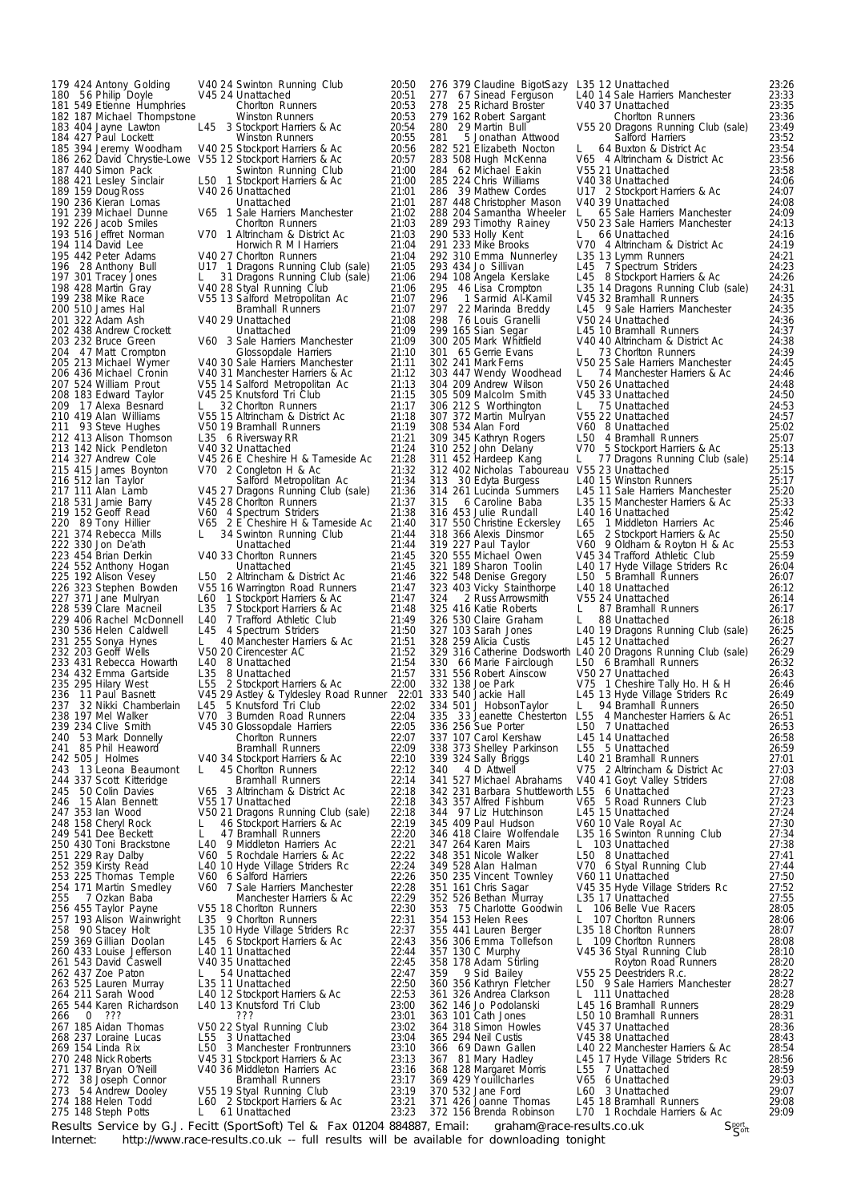222 330 Jon De'ath Unattached 228 539 Clare Macneil L35 7 Stockport Harriers & Ac

179 424 Antony Golding V40 24 Swinton Running Club 20:50 180 56 Philip Doyle V45 24 Unattached 20:51 181 549 Etienne Humphries Chorlton Runners 20:53 182 187 Michael Thompstone Winston Runners 20:53 183 404 Jayne Lawton L45 3 Stockport Harriers & Ac 20:54 184 427 Paul Lockett Winston Runners 20:55 V40 25 Stockport Harriers & Ac 20:56 186 394 Jeremy Woodham V40 25 Stockport Harriers & Ac 20:56<br>186 262 David Chrystie-Lowe V55 12 Stockport Harriers & Ac 20:57<br>187 440 Simon Pack 57 Swinton Running Club 21:00<br>188 421 Lesley Sinclair L50 1 Stockport Harriers 187 440 Simon Pack Swinton Running Club 21:00 188 421 Lesley Sinclair L50 1 Stockport Harriers & Ac 21:00 189 159 Doug Ross V40 26 Unattached 21:01 190 236 Kieran Lomas Unattached 21:01 191 239 Michael Dunne V65 1 Sale Harriers Manchester 21:02 192 226 Jacob Smiles Chorlton Runners view Chorlton Runners 21:03<br>193 516 Jeffret Norman V70 1 Altrincham & District Ac 21:03<br>194 114 David Lee Horwich R M I Harriers 21:04 193 516 Jeffret Norman V70 1 Altrincham & District Ac 21:03 194 114 David Lee HorwichRMI Harriers 21:04 193 516 Jeffret Norman 1970 1 Altrincham & District Ac 21:03<br>
194 114 David Lee Horwich R M I Harriers 21:04<br>
195 442 Peter Adams 1940 27 Chorlton Runners 21:04<br>
196 428 Anthony Bull 117 1 Dragons Running Club (sale) 21:06 196 28 Anthony Bull U17 1 Dragons Running Club (sale) 21:05 197 301 Tracey Jones L 31 Dragons Running Club (sale) 21:06 198 428 Martin Gray V40 28 Styal Running Club 21:06 199 238 Mike Race V55 13 Salford Metropolitan Ac 21:07 200 510 James Hal Bramhall Runners 21:07 202 238 Mike Race **12:07**<br>200 510 James Hal **12:07**<br>201 322 Adam Ash 12:08 29 Unattached 21:08<br>21:08 21:08 202 438 Andrew Crockett Unattached 21:09 203 232 Bruce Green V60 3 Sale Harriers Manchester 21:09 202 438 Andrew Crockett Unattached 21:09<br>203 232 Bruce Green V60 3 Sale Harriers Manchester 21:09<br>204 47 Matt Crompton Glossopdale Harriers 21:10 205 213 Michael Wymer V40 30 Sale Harriers Manchester 21:11 206 436 Michael Cronin V40 31 Manchester Harriers & Ac 21:12 205 213 Michael Wymer V40 30 Sale Harriers Manchester 21:11<br>206 436 Michael Cronin V40 31 Manchester Harriers & Ac 21:12<br>207 524 William Prout V55 14 Salford Metropolitan Ac 21:13 208 183 Edward Taylor V45 25 Knutsford Tri Club 21:15 209 17 Alexa Besnard L 32 Chorlton Runners 21:17 210 419 Alan Williams V55 15 Altrincham & District Ac 21:18 211 93 Steve Hughes V50 19 Bramhall Runners 21:19 212 413 Alison Thomson L35 6 Riversway RR 21:21 213 142 Nick Pendleton V40 32 Unattached 21:24 214 327 Andrew Cole V45 26 E Cheshire H & Tameside Ac 21:28<br>215 415 James Boynton V70 2 Congleton H & Ac 21:32 215 415 James Boynton V70 2 Congleton H & Ac 21:32 216 512 Ian Taylor Salford Metropolitan Ac 21:34 216 512 Ian Taylor **1986 12:36 Salford Metropolitan Ac** 21:34<br>217 111 Alan Lamb V45 27 Dragons Running Club (sale) 21:36 218 531 Jamie Barry V45 28 Chorlton Runners 21:37 219 152 Geoff Read  $20$ <br>220 89 Tony Hillier  $20$ <br>220 89 Tony Hillier  $20$ <br>221 374 Rebecca Mills L 34 Swinton Running Club<br>21:44 V65 2 E Cheshire H & Tameside Ac 21:40 21:44 L 34 Swinton Running Club 21:44<br>1:44 Unattached 21:44 223 454 Brian Derkin V40 33 Chorlton Runners 21:45 224 552 Anthony Hogan Unattached 21:45<br>225 192 Alison Vesey L50 2 Altrincham & District Ac 21:46 225 192 Alison Vesey L50 2 Altrincham & District Ac 226 323 Stephen Bowden V55 16 Warrington Road Runne V55 16 Warrington Road Runners 21:47 227 371 Jane Mulryan L60 1 Stockport Harriers & Ac 21:47 229 406 Rachel McDonnell L40 7 Trafford Athletic Club 21:49 230 536 Helen Caldwell L45 4 Spectrum Striders 21:50 230 536 Helen Caldwell Luist 4 Spectrum Striders 21:50<br>231 255 Sonya Hynes L 40 Manchester Harriers & Ac 21:51 232 203 Geoff Wells V50 20 Cirencester AC 21:52 233 431 Rebecca Howarth L40 8 Unattached 21:54 234 432 Emma Gartside L35 8 Unattached 21:57 235 295 Hilary West L55 2 Stockport Harriers & Ac 22:00 236 11 Paul Basnett V45 29 Astley & Tyldesley Road Runner 22:01 237 32 Nikki Chamberlain L45 5 Knutsford Tri Club 22:02 238 197 Mel Walker V70 3 Burnden Road Runners 22:04 239 234 Clive Smith V45 30 Glossopdale Harriers 22:05 240 53 Mark Donnelly Chorlton Runners 22:07 239 234 Clive Smith V45 30 Glossopdale Harriers 22:05<br>240 53 Mark Donnelly Chorton Runners 22:07<br>241 85 Phil Heaword Bramhall Runners 22:09 242 505 J Holmes V40 34 Stockport Harriers & Ac 22:10 243 13 Leona Beaumont L 45 Chorlton Runners 22:12 243 13 Leona Beaumont L 45 Chorton Runners 22:12<br>244 337 Scott Kitteridge Bramhall Runners 22:14 245 50 Colin Davies V65 3 Altrincham & District Ac 22:18 V55 17 Unattached 247 353 Ian Wood V50 21 Dragons Running Club (sale) 22:18 248 158 Cheryl Rock L 46 Stockport Harriers & Ac 22:19 249 541 Dee Beckett L 47 Bramhall Runners 22:20 248 158 Cheryl Rock L 46 Stockport Harriers & Ac 22:19<br>249 541 Dee Beckett L 47 Bramhall Runners 22:20<br>250 430 Toni Brackstone L40 9 Middleton Harriers Ac 22:21 251 229 Ray Dalby V60 5 Rochdale Harriers & Ac 22:22 252 359 Kirsty Read L40 10 Hyde Village Striders Rc 22:24 253 225 Thomas Temple V60 6 Salford Harriers 22:26 254 171 Martin Smedley V60 7 Sale Harriers Manchester 22:28 255 7 Ozkan Baba Manchester Harriers & Ac 22:29 256 256 Thomas Temple<br>
256 22:26 Thomas Temple<br>
22:26 254 171 Martin Smedley V60 7 Sale Harriers Manchester<br>
22:28 255 7 Ozkan Baba Manchester Harriers & Ac 22:29<br>
256 455 Taylor Payne V55 18 Chorlton Runners 22:30 257 193 Alison Wainwright L35 9 Chorlton Runners 22:31<br>258 90 Stacey Holt L35 10 Hyde Village Striders Rc 22:37<br>259 369 Gillian Doolan L45 6 Stockport Harriers & Ac 22:43<br>260 433 Louise Jefferson L40 11 Unattached 22:44<br>26 260 433 Louise Jefferson<br>
260 433 Louise Jefferson<br>
261 543 David Caswell<br>
262 437 Zoe Paton<br>
22:47 Louise Legal Data Louise Land Louise Legal Data Louise 22:47<br>
22:47 Zoe Paton<br>
22:47 263 525 Lauren Murray L35 11 Unattached 22:50 264 211 Sarah Wood L40 12 Stockport Harriers & Ac 22:53 263 525 Lauren Murray 195 11 Unattached 22:50<br>264 211 Sarah Wood 12 Stockport Harriers & Ac 22:53<br>265 544 Karen Richardson 140 13 Knutsford Tri Club 23:00 266 0 ??? ??? 23:01 266 0 227 23:01<br>267 185 Aidan Thomas v50 22 Styal Running Club<br>23:02<br>268 237 Loraine Lucas L55 3 Unattached 23:04 268 237 Loraine Lucas L55 3 Unattached 23:04 269 154 Linda Rix L50 3 Manchester Frontrunners 23:10 270 248 Nick Roberts V45 31 Stockport Harriers & Ac 23:13 271 137 Bryan O'Neill V40 36 Middleton Harriers Ac 23:16 271 137 Bryan O'Neill V40 36 Middleton Harriers Ac 23:16<br>
272 38 Joseph Connor Bramhall Runners 23:17<br>
273 54 Andrew Dooley V55 19 Styal Running Club 23:19<br>
274 188 Helen Todd L60 2 Stockport Harriers & Ac 23:21 273 54 Andrew Dooley V55 19 Styal Running Club 23:19 274 188 Helen Todd L60 2 Stockport Harriers & Ac 23:21 274 188 Helen Todd<br>
275 148 Steph Potts Legislator Legislator Legislator 23:21<br>
275 148 Steph Potts Legislator Legislator 23:23

Results Service by G.J. Fecitt (SportSoft) Tel & Fax 01204 884887, Email: graham@race-results.co.uk<br>Internet: http://www.race-results.co.uk -- full results will be available for downloading tonight http://www.race-results.co.uk -- full results will be available for downloading tonight

Sport<sub>oft</sub> 276 379 Claudine BigotSazy L35 12 Unattached 23:26 277 67 Sinead Ferguson L40 14 Sale Harriers Manchester 23:33 278 25 Richard Broster V40 37 Unattached 23:35 279 162 Robert Sargant Chorlton Runners 23:36 280 29 Martin Bull V55 20 Dragons Running Club (sale) 23:49 281 5 Jonathan Attwood Salford Harriers 23:52 282 521 Elizabeth Nocton L 64 Buxton & District Ac 23:54 283 508 Hugh McKenna V65 4 Altrincham & District Ac 23:56 284 62 Michael Eakin V55 21 Unattached 23:58 284 62 Michael Eakin v55 21 Unattached 23:58<br>
285 224 Chris Williams v40 38 Unattached 24:06<br>
286 39 Mathew Cordes U17 2 Stockport Harriers & Ac 24:07<br>
287 448 Christopher Mason v40 39 Unattached 24:08 286 39 Mathew Cordes U17 2 Stockport Harriers & Ac 24:07 287 448 Christopher Mason V40 39 Unattached 24:08 288 204 Samantha Wheeler L 65 Sale Harriers Manchester 24:09 289 293 Timothy Rainey V50 23 Sale Harriers Manchester 24:13 290 533 Holly Kent L 66 Unattached 24:16<br>291 233 Mike Brooks V70 4 Altrincham & District Ac 24:19 2012 - Altrincham & District Ac<br>L35 13 Lymm Runners 292 310 Emma Nunnerley L35 13 Lymm Runners 24:21 293 434 Jo Sillivan L45 7 Spectrum Striders 24:23 294 108 Angela Kerslake L45 8 Stockport Harriers & Ac 24:26 295 46 Lisa Crompton L35 14 Dragons Running Club (sale) 24:31 296 1 Sarmid Al-Kamil V45 32 Bramhall Runners 24:35 297 22 Marinda Breddy L45 9 Sale Harriers Manchester 24:35 298 1 Sarmid Al-Kamil 2003 1 Sarmid Al-Kamil 2003<br>297 22 Marinda Breddy 145 9 Sale Harriers Manchester 24:35<br>298 76 Louis Granelli 24:36<br>298 165 Sian Segar 145 10 Bramhall Runners 24:36<br>300 205 Mark Whitfield 140 Altrincha 299 165 Sian Segar L45 10 Bramhall Runners 24:37 300 205 Mark Whitfield V40 40 Altrincham & District Ac 24:38 301 65 Gerrie Evans L 73 Chorlton Runners 24:39 302 241 Mark Ferns V50 25 Sale Harriers Manchester 24:45 303 447 Wendy Woodhead L 74 Manchester Harriers & Ac 24:46 302 241 Mark Ferns V50 25 Sale Harriers Manchester 24:45<br>303 447 Wendy Woodhead L 74 Manchester Harriers & Ac 24:46<br>304 209 Andrew Wilson V50 26 Unattached 24:48 305 509 Malcolm Smith V45 33 Unattached 24:50 306 212 S Worthington L 75 Unattached 24:53 307 372 Martin Mulryan  $V$ 55 22 Unattached 24:57<br>308 534 Alan Ford  $V$ 60 8 Unattached 25:02<br>309 345 Kathryn Rogers L50 4 Bramhall Runners 25:07<br>310 252 John Delany V70 5 Stockport Harriers & Ac 25:13 308 534 Alan Ford V60 8 Unattached 25:02 309 345 Kathryn Rogers L50 4 Bramhall Runners 25:07 310 252 John Delany V70 5 Stockport Harriers & Ac 25:13 311 452 Hardeep Kang L 77 Dragons Running Club (sale) 25:14 312 402 Nicholas Taboureau V55 23 Unattached 25:15 311 452 Hardeep Kang L. 27 Dragons Running Club (sale)<br>312 402 Nicholas Taboureau V55 23 Unattached 25:14<br>313 30 Edyta Burgess L40 15 Winston Runners 25:17 314 261 Lucinda Summers L45 11 Sale Harriers Manchester 25:20 315 6 Caroline Baba L35 15 Manchester Harriers & Ac 25:33 315 6 Caroline Baba 1.35 15 Manchester Harriers & Ac 25:33<br>316 453 Julie Rundall 1.40 16 Unattached 25:42 317 550 Christine Eckersley L65 1 Middleton Harriers Ac 25:46 318 366 Alexis Dinsmor L65 2 Stockport Harriers & Ac 25:50 319 227 Paul Taylor V60 9 Oldham & Royton H & Ac 25:53 320 555 Michael Owen V45 34 Trafford Athletic Club 25:59 321 189 Sharon Toolin L40 17 Hyde Village Striders Rc 26:04 322 548 Denise Gregory L50 5 Bramhall Runners 26:07 323 403 Vicky Stainthorpe L40 18 Unattached 26:12 324 2 Russ Arrowsmith V55 24 Unattached 26:14 325 416 Katie Roberts L 87 Bramhall Runners 26:17 326 530 Claire Graham L 88 Unattached 26:18 327 103 Sarah Jones L40 19 Dragons Running Club (sale) 26:25 328 259 Alicia Custis L45 12 Unattached 26:27 329 316 Catherine Dodsworth L40 20 Dragons Running Club (sale) 26:29 330 66 Marie Fairclough L50 6 Bramhall Runners 26:32 331 556 Robert Ainscow V50 27 Unattached 26:43 332 138 Joe Park V75 1 Cheshire Tally Ho.H&H 26:46 333 540 Jackie Hall L45 13 Hyde Village Striders Rc 26:49 334 501 J HobsonTaylor L 94 Bramhall Runners 26:50 335 33 Jeanette Chesterton L55 4 Manchester Harriers & Ac 26:51 336 256 Sue Porter L50 7 Unattached 26:53 337 107 Carol Kershaw L45 14 Unattached 26:58 338 373 Shelley Parkinson L55 5 Unattached 26:59 339 324 Sally Briggs L40 21 Bramhall Runners 27:01 340 4 D Attwell V75 2 Altrincham & District Ac 27:03 341 527 Michael Abrahams V40 41 Goyt Valley Striders 27:08 342 231 Barbara Shuttleworth L55 6 Unattached 27:23 343 357 Alfred Fishburn V65 5 Road Runners Club 27:23 342 231 Barbara Shuttleworth L55 6 Unattached 27:23<br>343 357 Alfred Fishburn 2065 5 Road Runners Club 27:23<br>344 97 Liz Hutchinson L45 15 Unattached 27:24 345 409 Paul Hudson V60 10 Vale Royal Ac 27:30 346 418 Claire Wolfendale L35 16 Swinton Running Club 27:34 346 418 Claire Wolfendale 135 16 Swinton Running Club<br>347 264 Karen Mairs 1. 103 Unattached 127:38 348 351 Nicole Walker L50 8 Unattached 27:41 349 528 Alan Halman V70 6 Styal Running Club 27:44 348 351 Nicole Walker 1990 8 Unattached 1991 27:41<br>349 528 Alan Halman 1990 6 Styal Running Club 27:44<br>350 235 Vincent Townley 1990 11 Unattached 1990 27:50 351 161 Chris Sagar V45 35 Hyde Village Striders Rc 27:52 352 526 Bethan Murray L35 17 Unattached 27:55 351 161 Chris Sagar 1945 35 Hyde Village Striders Rc 27:52<br>352 526 Bethan Murray 1 125 17 Unattached 27:55<br>353 75 Charlotte Goodwin 1 106 Belle Vue Racers 28:05 354 153 Helen Rees L 107 Chorlton Runners 28:06 355 441 Lauren Berger L35 18 Chorlton Runners 28:07 354 153 Helen Rees L 107 Chorlton Runners 28:06<br>355 441 Lauren Berger L35 18 Chorlton Runners 28:07<br>356 306 Emma Tollefson L 109 Chorlton Runners 28:08 357 130 C Murphy V45 36 Styal Running Club 28:10 358 178 Adam Stirling Royton Road Runners 28:20 359 9 Sid Bailey V55 25 Deestriders R.c. 28:22 360 356 Kathryn Fletcher L50 9 Sale Harriers Manchester 28:27 361 326 Andrea Clarkson L 111 Unattached 28:28 360 356 Kathryn Fletcher L50 9 Sale Harriers Manchester 28:27<br>361 326 Andrea Clarkson L 111 Unattached 28:28<br>362 146 Jo Podolanski L45 16 Bramhall Runners 28:29 363 101 Cath Jones L50 10 Bramhall Runners 28:31 364 318 Simon Howles V45 37 Unattached 28:36 363 101 Cath Jones 150 10 Bramhall Runners 28:31<br>364 318 Simon Howles 1958 1974 V45 37 Unattached 28:36<br>365 294 Neil Custis 1974 V45 38 Unattached 28:43 366 69 Dawn Gallen L40 22 Manchester Harriers & Ac 28:54 367 81 Mary Hadley L45 17 Hyde Village Striders Rc 28:56 366 69 Dawn Gallen 140 22 Manchester Harriers & Ac 28:54<br>367 81 Mary Hadley 145 17 Hyde Village Striders Rc 28:56<br>368 128 Margaret Morris 155 7 Unattached 28:59 369 429 Youillcharles V65 6 Unattached 29:03 370 532 Jane Ford L60 3 Unattached 29:07 369 429 Youillcharles<br>
370 532 Jane Ford<br>
371 426 Joanne Thomas L45 18 Bramhall Runners 29:08<br>
371 426 Joanne Thomas L45 18 Bramhall Runners 29:08 372 156 Brenda Robinson L70 1 Rochdale Harriers & Ac 29:09